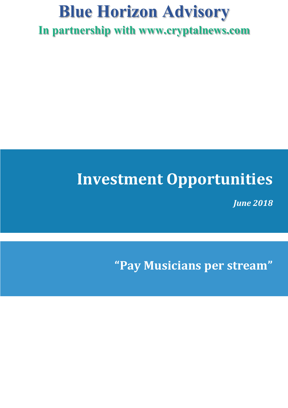# **Blue Horizon Advisory In partnership with www.cryptalnews.com**

# **Investment Opportunities**

*June 2018*

**"Pay Musicians per stream"**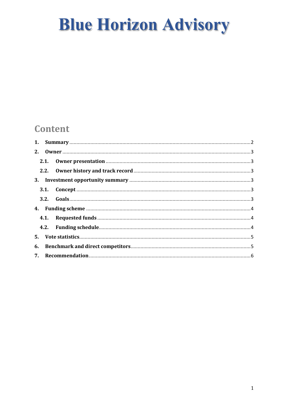### **Content**

| 6. |  |  |  |  |
|----|--|--|--|--|
|    |  |  |  |  |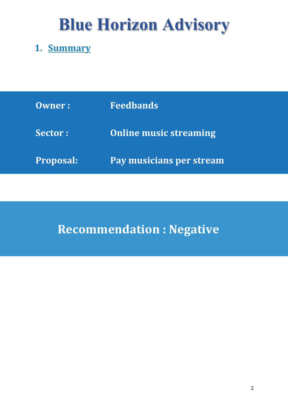### **1. Summary**

| <b>Owner:</b>    | <b>Feedbands</b>              |
|------------------|-------------------------------|
| <b>Sector:</b>   | <b>Online music streaming</b> |
| <b>Proposal:</b> | Pay musicians per stream      |

# **Recommendation : Negative**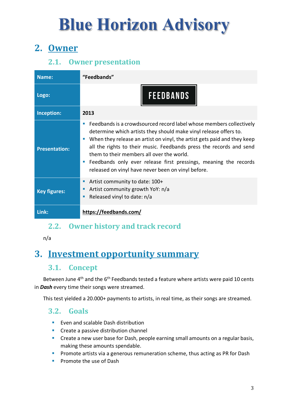## **2. Owner**

### **2.1.** Owner presentation

| Name:                | "Feedbands"                                                                                                                                                                                                                                                                                                                                                                                                                                                                   |
|----------------------|-------------------------------------------------------------------------------------------------------------------------------------------------------------------------------------------------------------------------------------------------------------------------------------------------------------------------------------------------------------------------------------------------------------------------------------------------------------------------------|
| Logo:                | <b>FEEDBANDS</b>                                                                                                                                                                                                                                                                                                                                                                                                                                                              |
| Inception:           | 2013                                                                                                                                                                                                                                                                                                                                                                                                                                                                          |
| <b>Presentation:</b> | Feedbands is a crowdsourced record label whose members collectively<br>п<br>determine which artists they should make vinyl release offers to.<br>When they release an artist on vinyl, the artist gets paid and they keep<br>m.<br>all the rights to their music. Feedbands press the records and send<br>them to their members all over the world.<br>Feedbands only ever release first pressings, meaning the records<br>released on vinyl have never been on vinyl before. |
| <b>Key figures:</b>  | Artist community to date: 100+<br>п<br>Artist community growth YoY: n/a<br>п<br>Released vinyl to date: n/a<br>п                                                                                                                                                                                                                                                                                                                                                              |
| Link:                | https://feedbands.com/                                                                                                                                                                                                                                                                                                                                                                                                                                                        |

#### **2.2.** Owner history and track record

n/a

### **3. Investment opportunity summary**

#### **3.1. Concept**

Between June  $4<sup>th</sup>$  and the  $6<sup>th</sup>$  Feedbands tested a feature where artists were paid 10 cents in *Dash* every time their songs were streamed.

This test yielded a 20.000+ payments to artists, in real time, as their songs are streamed.

#### **3.2. Goals**

- Even and scalable Dash distribution
- Create a passive distribution channel
- Create a new user base for Dash, people earning small amounts on a regular basis, making these amounts spendable.
- **•** Promote artists via a generous remuneration scheme, thus acting as PR for Dash
- Promote the use of Dash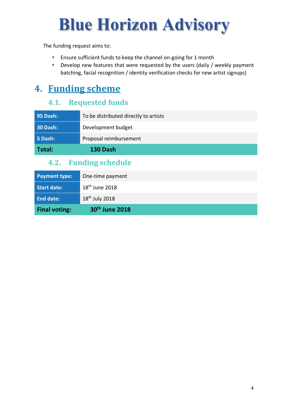The funding request aims to:

- Ensure sufficient funds to keep the channel on-going for 1 month
- Develop new features that were requested by the users (daily / weekly payment batching, facial recognition / identity verification checks for new artist signups)

### **4. Funding scheme**

#### **4.1.** Requested funds

| <b>95 Dash:</b> | To be distributed directly to artists |
|-----------------|---------------------------------------|
| 30 Dash:        | Development budget                    |
| 5 Dash:         | Proposal reimbursement                |
| Total:          | 130 Dash                              |

#### **4.2.** Funding schedule

| <b>Payment type:</b> | One-time payment           |
|----------------------|----------------------------|
| <b>Start date:</b>   | $18th$ June 2018           |
| <b>End date:</b>     | $18th$ July 2018           |
| <b>Final voting:</b> | 30 <sup>th</sup> June 2018 |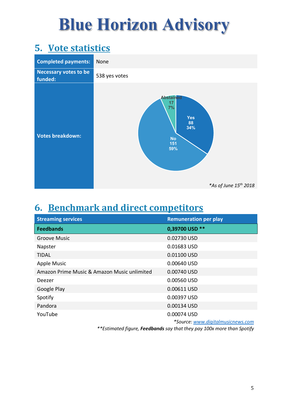### **5.** Vote statistics



### **6. Benchmark and direct competitors**

| <b>Streaming services</b>                   | <b>Remuneration per play</b>      |
|---------------------------------------------|-----------------------------------|
| <b>Feedbands</b>                            | 0,39700 USD **                    |
| <b>Groove Music</b>                         | 0.02730 USD                       |
| Napster                                     | 0.01683 USD                       |
| <b>TIDAL</b>                                | 0.01100 USD                       |
| <b>Apple Music</b>                          | 0.00640 USD                       |
| Amazon Prime Music & Amazon Music unlimited | 0.00740 USD                       |
| Deezer                                      | 0.00560 USD                       |
| Google Play                                 | 0.00611 USD                       |
| Spotify                                     | 0.00397 USD                       |
| Pandora                                     | 0.00134 USD                       |
| YouTube                                     | 0.00074 USD                       |
|                                             | *Source: www.digitalmusicnews.com |

*\*\*Estimated figure, Feedbands say that they pay 100x more than Spotify*